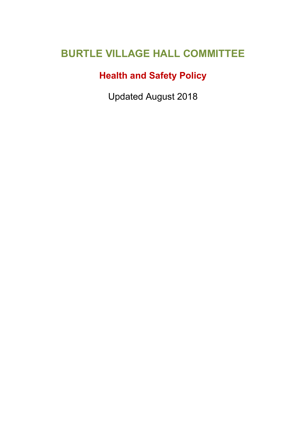# **BURTLE VILLAGE HALL COMMITTEE**

# **Health and Safety Policy**

Updated August 2018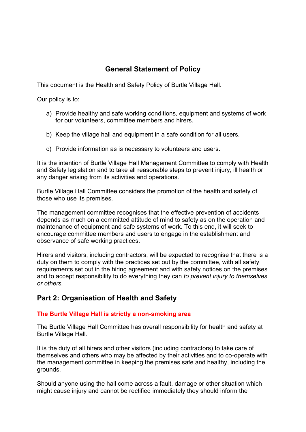## **General Statement of Policy**

This document is the Health and Safety Policy of Burtle Village Hall.

Our policy is to:

- a) Provide healthy and safe working conditions, equipment and systems of work for our volunteers, committee members and hirers.
- b) Keep the village hall and equipment in a safe condition for all users.
- c) Provide information as is necessary to volunteers and users.

It is the intention of Burtle Village Hall Management Committee to comply with Health and Safety legislation and to take all reasonable steps to prevent injury, ill health or any danger arising from its activities and operations.

Burtle Village Hall Committee considers the promotion of the health and safety of those who use its premises.

The management committee recognises that the effective prevention of accidents depends as much on a committed attitude of mind to safety as on the operation and maintenance of equipment and safe systems of work. To this end, it will seek to encourage committee members and users to engage in the establishment and observance of safe working practices.

Hirers and visitors, including contractors, will be expected to recognise that there is a duty on them to comply with the practices set out by the committee, with all safety requirements set out in the hiring agreement and with safety notices on the premises and to accept responsibility to do everything they can *to prevent injury to themselves or others.*

#### **Part 2: Organisation of Health and Safety**

#### **The Burtle Village Hall is strictly a non-smoking area**

The Burtle Village Hall Committee has overall responsibility for health and safety at Burtle Village Hall.

It is the duty of all hirers and other visitors (including contractors) to take care of themselves and others who may be affected by their activities and to co-operate with the management committee in keeping the premises safe and healthy, including the grounds.

Should anyone using the hall come across a fault, damage or other situation which might cause injury and cannot be rectified immediately they should inform the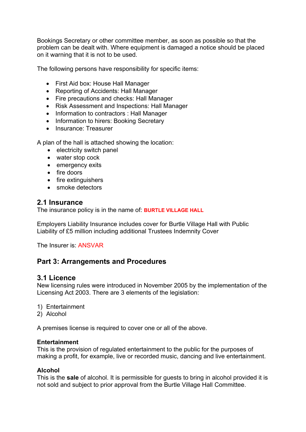Bookings Secretary or other committee member, as soon as possible so that the problem can be dealt with. Where equipment is damaged a notice should be placed on it warning that it is not to be used.

The following persons have responsibility for specific items:

- First Aid box: House Hall Manager
- Reporting of Accidents: Hall Manager
- Fire precautions and checks: Hall Manager
- Risk Assessment and Inspections: Hall Manager
- Information to contractors : Hall Manager
- Information to hirers: Booking Secretary
- Insurance: Treasurer

A plan of the hall is attached showing the location:

- electricity switch panel
- water stop cock
- emergency exits
- fire doors
- fire extinguishers
- smoke detectors

#### **2.1 Insurance**

The insurance policy is in the name of: **BURTLE VILLAGE HALL**

Employers Liability Insurance includes cover for Burtle Village Hall with Public Liability of £5 million including additional Trustees Indemnity Cover

The Insurer is: ANSVAR

#### **Part 3: Arrangements and Procedures**

#### **3.1 Licence**

New licensing rules were introduced in November 2005 by the implementation of the Licensing Act 2003. There are 3 elements of the legislation:

- 1) Entertainment
- 2) Alcohol

A premises license is required to cover one or all of the above.

#### **Entertainment**

This is the provision of regulated entertainment to the public for the purposes of making a profit, for example, live or recorded music, dancing and live entertainment.

#### **Alcohol**

This is the **sale** of alcohol. It is permissible for guests to bring in alcohol provided it is not sold and subject to prior approval from the Burtle Village Hall Committee.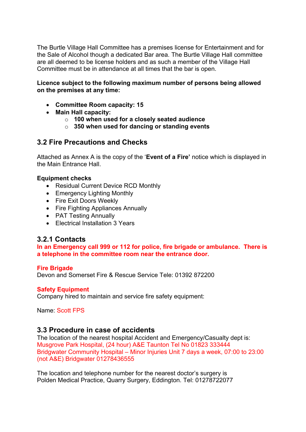The Burtle Village Hall Committee has a premises license for Entertainment and for the Sale of Alcohol though a dedicated Bar area. The Burtle Village Hall committee are all deemed to be license holders and as such a member of the Village Hall Committee must be in attendance at all times that the bar is open.

#### **Licence subject to the following maximum number of persons being allowed on the premises at any time:**

- **Committee Room capacity: 15**
- **Main Hall capacity:**
	- o **100 when used for a closely seated audience**
	- o **350 when used for dancing or standing events**

#### **3.2 Fire Precautions and Checks**

Attached as Annex A is the copy of the '**Event of a Fire'** notice which is displayed in the Main Entrance Hall.

#### **Equipment checks**

- Residual Current Device RCD Monthly
- Emergency Lighting Monthly
- Fire Exit Doors Weekly
- Fire Fighting Appliances Annually
- PAT Testing Annually
- Flectrical Installation 3 Years

#### **3.2.1 Contacts**

**In an Emergency call 999 or 112 for police, fire brigade or ambulance. There is a telephone in the committee room near the entrance door.**

#### **Fire Brigade**

Devon and Somerset Fire & Rescue Service Tele: 01392 872200

#### **Safety Equipment**

Company hired to maintain and service fire safety equipment:

Name: Scott FPS

#### **3.3 Procedure in case of accidents**

The location of the nearest hospital Accident and Emergency/Casualty dept is: Musgrove Park Hospital, (24 hour) A&E Taunton Tel No 01823 333444 Bridgwater Community Hospital – Minor Injuries Unit 7 days a week, 07:00 to 23:00 (not A&E) Bridgwater 01278436555

The location and telephone number for the nearest doctor's surgery is Polden Medical Practice, Quarry Surgery, Eddington. Tel: 01278722077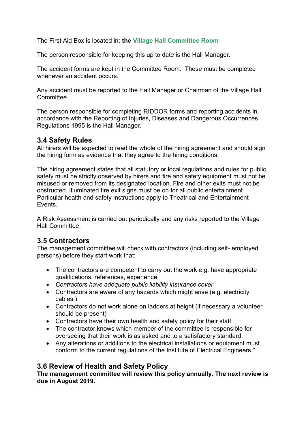The First Aid Box is located in: **the Village Hall Committee Room**

The person responsible for keeping this up to date is the Hall Manager.

The accident forms are kept in the Committee Room. These must be completed whenever an accident occurs.

Any accident must be reported to the Hall Manager or Chairman of the Village Hall Committee.

The person responsible for completing RIDDOR forms and reporting accidents in accordance with the Reporting of Injuries, Diseases and Dangerous Occurrences Regulations 1995 is the Hall Manager.

#### **3.4 Safety Rules**

All hirers will be expected to read the whole of the hiring agreement and should sign the hiring form as evidence that they agree to the hiring conditions.

The hiring agreement states that all statutory or local regulations and rules for public safety must be strictly observed by hirers and fire and safety equipment must not be misused or removed from its designated location. Fire and other exits must not be obstructed. Illuminated fire exit signs must be on for all public entertainment. Particular health and safety instructions apply to Theatrical and Entertainment Events.

A Risk Assessment is carried out periodically and any risks reported to the Village Hall Committee.

#### **3.5 Contractors**

The management committee will check with contractors (including self- employed persons) before they start work that:

- The contractors are competent to carry out the work e.g. have appropriate qualifications, references, experience
- *Contractors have adequate public liability insurance cover*
- Contractors are aware of any hazards which might arise (e.g. electricity cables )
- Contractors do not work alone on ladders at height (if necessary a volunteer should be present)
- Contractors have their own health and safety policy for their staff
- The contractor knows which member of the committee is responsible for overseeing that their work is as asked and to a satisfactory standard.
- Any alterations or additions to the electrical installations or equipment must conform to the current regulations of the Institute of Electrical Engineers."

### **3.6 Review of Health and Safety Policy**

**The management committee will review this policy annually. The next review is due in August 2019.**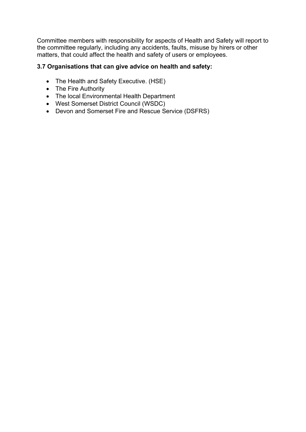Committee members with responsibility for aspects of Health and Safety will report to the committee regularly, including any accidents, faults, misuse by hirers or other matters, that could affect the health and safety of users or employees.

#### **3.7 Organisations that can give advice on health and safety:**

- The Health and Safety Executive. (HSE)
- The Fire Authority
- The local Environmental Health Department
- West Somerset District Council (WSDC)
- Devon and Somerset Fire and Rescue Service (DSFRS)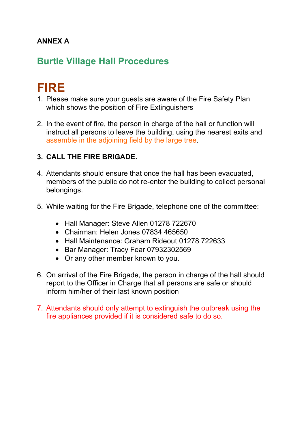# **ANNEX A**

# **Burtle Village Hall Procedures**

# **FIRE**

- 1. Please make sure your guests are aware of the Fire Safety Plan which shows the position of Fire Extinguishers
- 2. In the event of fire, the person in charge of the hall or function will instruct all persons to leave the building, using the nearest exits and assemble in the adjoining field by the large tree.

## **3. CALL THE FIRE BRIGADE.**

- 4. Attendants should ensure that once the hall has been evacuated, members of the public do not re-enter the building to collect personal belongings.
- 5. While waiting for the Fire Brigade, telephone one of the committee:
	- Hall Manager: Steve Allen 01278 722670
	- Chairman: Helen Jones 07834 465650
	- Hall Maintenance: Graham Rideout 01278 722633
	- Bar Manager: Tracy Fear 07932302569
	- Or any other member known to you.
- 6. On arrival of the Fire Brigade, the person in charge of the hall should report to the Officer in Charge that all persons are safe or should inform him/her of their last known position
- 7. Attendants should only attempt to extinguish the outbreak using the fire appliances provided if it is considered safe to do so.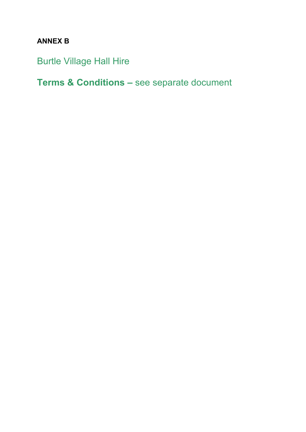# **ANNEX B**

Burtle Village Hall Hire

**Terms & Conditions –** see separate document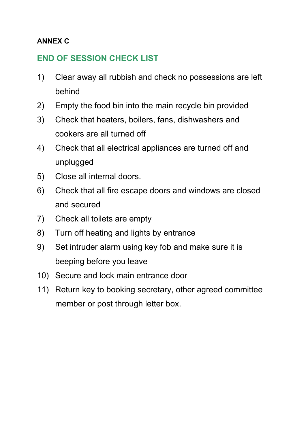# **ANNEX C**

# **END OF SESSION CHECK LIST**

- 1) Clear away all rubbish and check no possessions are left behind
- 2) Empty the food bin into the main recycle bin provided
- 3) Check that heaters, boilers, fans, dishwashers and cookers are all turned off
- 4) Check that all electrical appliances are turned off and unplugged
- 5) Close all internal doors.
- 6) Check that all fire escape doors and windows are closed and secured
- 7) Check all toilets are empty
- 8) Turn off heating and lights by entrance
- 9) Set intruder alarm using key fob and make sure it is beeping before you leave
- 10) Secure and lock main entrance door
- 11) Return key to booking secretary, other agreed committee member or post through letter box.